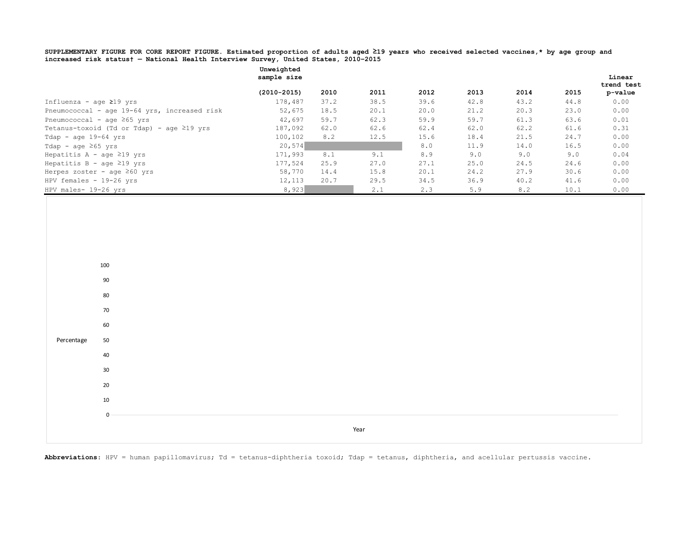**SUPPLEMENTARY FIGURE FOR CORE REPORT FIGURE. Estimated proportion of adults aged ≥19 years who received selected vaccines,\* by age group and increased risk status† — National Health Interview Survey, United States, 2010–2015**

|                                                 | Unweighted<br>sample size |      |      |      |      |      |      | Linear     |
|-------------------------------------------------|---------------------------|------|------|------|------|------|------|------------|
|                                                 |                           |      |      |      |      |      |      | trend test |
|                                                 | $(2010 - 2015)$           | 2010 | 2011 | 2012 | 2013 | 2014 | 2015 | p-value    |
| Influenza - age $\geq$ 19 yrs                   | 178,487                   | 37.2 | 38.5 | 39.6 | 42.8 | 43.2 | 44.8 | 0.00       |
| Pneumococcal - age 19-64 yrs, increased risk    | 52,675                    | 18.5 | 20.1 | 20.0 | 21.2 | 20.3 | 23.0 | 0.00       |
| Pneumococcal - age $\geq 65$ yrs                | 42,697                    | 59.7 | 62.3 | 59.9 | 59.7 | 61.3 | 63.6 | 0.01       |
| Tetanus-toxoid (Td or Tdap) - age $\geq$ 19 yrs | 187,092                   | 62.0 | 62.6 | 62.4 | 62.0 | 62.2 | 61.6 | 0.31       |
| Tdap - age $19-64$ yrs                          | 100,102                   | 8.2  | 12.5 | 15.6 | 18.4 | 21.5 | 24.7 | 0.00       |
| Tdap - age $\geq 65$ yrs                        | 20,574                    |      |      | 8.0  | 11.9 | 14.0 | 16.5 | 0.00       |
| Hepatitis A - age $\geq$ 19 yrs                 | 171,993                   | 8.1  | 9.1  | 8.9  | 9.0  | 9.0  | 9.0  | 0.04       |
| Hepatitis B - age $\geq$ 19 yrs                 | 177,524                   | 25.9 | 27.0 | 27.1 | 25.0 | 24.5 | 24.6 | 0.00       |
| Herpes zoster - age $\geq 60$ yrs               | 58,770                    | 14.4 | 15.8 | 20.1 | 24.2 | 27.9 | 30.6 | 0.00       |
| HPV females $-19-26$ yrs                        | 12,113                    | 20.7 | 29.5 | 34.5 | 36.9 | 40.2 | 41.6 | 0.00       |
| HPV males- 19-26 yrs                            | 8,923                     |      | 2.1  | 2.3  | 5.9  | 8.2  | 10.1 | 0.00       |

**Abbreviations**: HPV = human papillomavirus; Td = tetanus-diphtheria toxoid; Tdap = tetanus, diphtheria, and acellular pertussis vaccine.

Year

Percentage